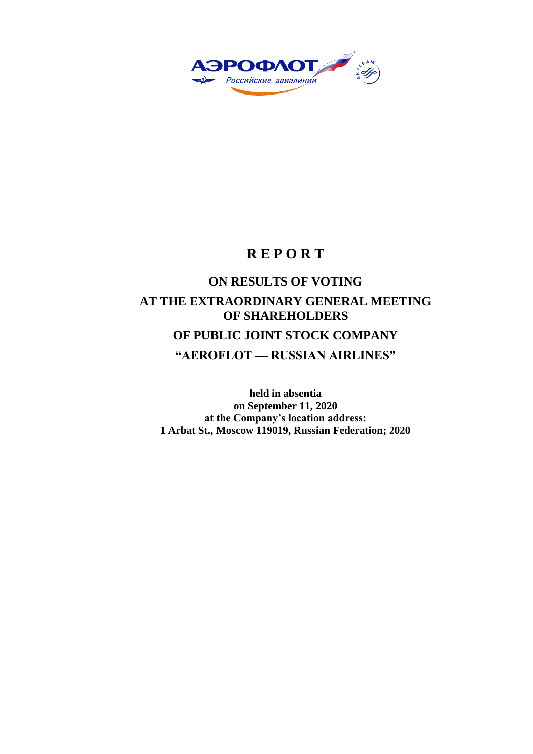

# **R E P O R T**

# **ON RESULTS OF VOTING AT THE EXTRAORDINARY GENERAL MEETING OF SHAREHOLDERS OF PUBLIC JOINT STOCK COMPANY "AEROFLOT — RUSSIAN AIRLINES"**

**held in absentia on September 11, 2020 at the Company's location address: 1 Arbat St., Moscow 119019, Russian Federation; 2020**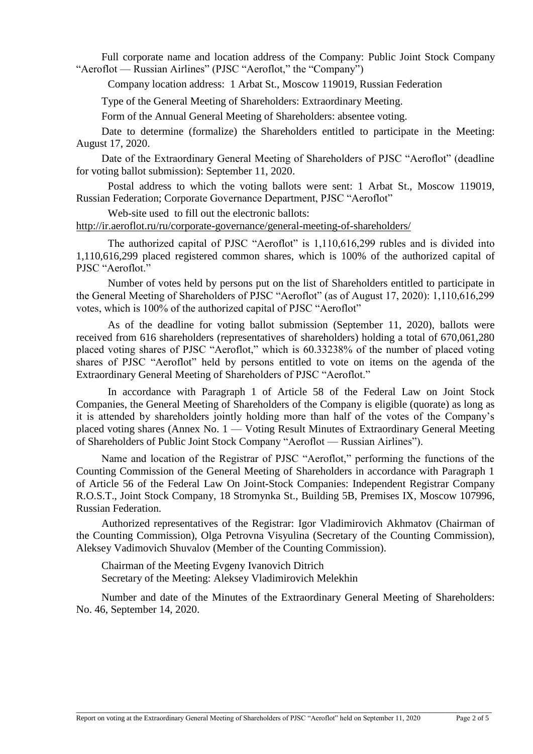Full corporate name and location address of the Company: Public Joint Stock Company "Aeroflot — Russian Airlines" (PJSC "Aeroflot," the "Company")

Company location address: 1 Arbat St., Moscow 119019, Russian Federation

Type of the General Meeting of Shareholders: Extraordinary Meeting.

Form of the Annual General Meeting of Shareholders: absentee voting.

Date to determine (formalize) the Shareholders entitled to participate in the Meeting: August 17, 2020.

Date of the Extraordinary General Meeting of Shareholders of PJSC "Aeroflot" (deadline for voting ballot submission): September 11, 2020.

Postal address to which the voting ballots were sent: 1 Arbat St., Moscow 119019, Russian Federation; Corporate Governance Department, PJSC "Aeroflot"

Web-site used to fill out the electronic ballots:

<http://ir.aeroflot.ru/ru/corporate-governance/general-meeting-of-shareholders/>

The authorized capital of PJSC "Aeroflot" is 1,110,616,299 rubles and is divided into 1,110,616,299 placed registered common shares, which is 100% of the authorized capital of PJSC "Aeroflot."

Number of votes held by persons put on the list of Shareholders entitled to participate in the General Meeting of Shareholders of PJSC "Aeroflot" (as of August 17, 2020): 1,110,616,299 votes, which is 100% of the authorized capital of PJSC "Aeroflot"

As of the deadline for voting ballot submission (September 11, 2020), ballots were received from 616 shareholders (representatives of shareholders) holding a total of 670,061,280 placed voting shares of PJSC "Aeroflot," which is 60.33238% of the number of placed voting shares of PJSC "Aeroflot" held by persons entitled to vote on items on the agenda of the Extraordinary General Meeting of Shareholders of PJSC "Aeroflot."

In accordance with Paragraph 1 of Article 58 of the Federal Law on Joint Stock Companies, the General Meeting of Shareholders of the Company is eligible (quorate) as long as it is attended by shareholders jointly holding more than half of the votes of the Company's placed voting shares (Annex No. 1 — Voting Result Minutes of Extraordinary General Meeting of Shareholders of Public Joint Stock Company "Aeroflot — Russian Airlines").

Name and location of the Registrar of PJSC "Aeroflot," performing the functions of the Counting Commission of the General Meeting of Shareholders in accordance with Paragraph 1 of Article 56 of the Federal Law On Joint-Stock Companies: Independent Registrar Company R.O.S.T., Joint Stock Company, 18 Stromynka St., Building 5B, Premises IX, Moscow 107996, Russian Federation.

Authorized representatives of the Registrar: Igor Vladimirovich Akhmatov (Chairman of the Counting Commission), Olga Petrovna Visyulina (Secretary of the Counting Commission), Aleksey Vadimovich Shuvalov (Member of the Counting Commission).

Chairman of the Meeting Evgeny Ivanovich Ditrich Secretary of the Meeting: Aleksey Vladimirovich Melekhin

Number and date of the Minutes of the Extraordinary General Meeting of Shareholders: No. 46, September 14, 2020.

\_\_\_\_\_\_\_\_\_\_\_\_\_\_\_\_\_\_\_\_\_\_\_\_\_\_\_\_\_\_\_\_\_\_\_\_\_\_\_\_\_\_\_\_\_\_\_\_\_\_\_\_\_\_\_\_\_\_\_\_\_\_\_\_\_\_\_\_\_\_\_\_\_\_\_\_\_\_\_\_\_\_\_\_\_\_\_\_\_\_\_\_\_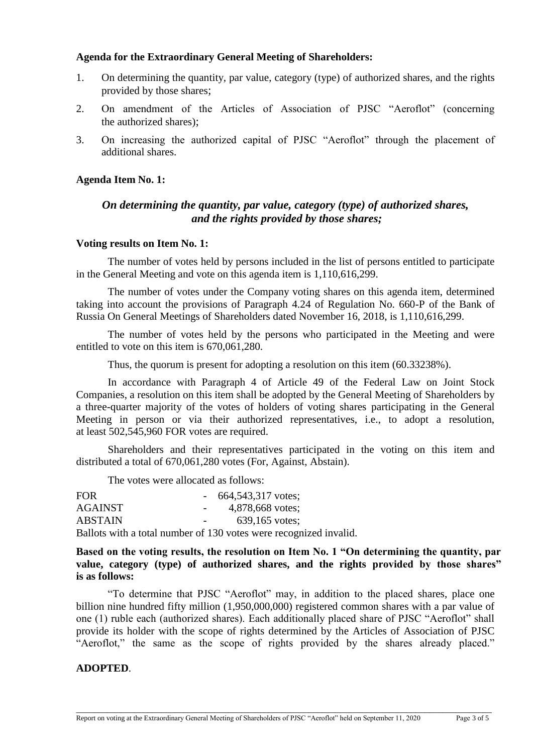#### **Agenda for the Extraordinary General Meeting of Shareholders:**

- 1. On determining the quantity, par value, category (type) of authorized shares, and the rights provided by those shares;
- 2. On amendment of the Articles of Association of PJSC "Aeroflot" (concerning the authorized shares);
- 3. On increasing the authorized capital of PJSC "Aeroflot" through the placement of additional shares.

## **Agenda Item No. 1:**

# *On determining the quantity, par value, category (type) of authorized shares, and the rights provided by those shares;*

#### **Voting results on Item No. 1:**

The number of votes held by persons included in the list of persons entitled to participate in the General Meeting and vote on this agenda item is 1,110,616,299.

The number of votes under the Company voting shares on this agenda item, determined taking into account the provisions of Paragraph 4.24 of Regulation No. 660-P of the Bank of Russia On General Meetings of Shareholders dated November 16, 2018, is 1,110,616,299.

The number of votes held by the persons who participated in the Meeting and were entitled to vote on this item is 670,061,280.

Thus, the quorum is present for adopting a resolution on this item (60.33238%).

In accordance with Paragraph 4 of Article 49 of the Federal Law on Joint Stock Companies, a resolution on this item shall be adopted by the General Meeting of Shareholders by a three-quarter majority of the votes of holders of voting shares participating in the General Meeting in person or via their authorized representatives, i.e., to adopt a resolution, at least 502,545,960 FOR votes are required.

Shareholders and their representatives participated in the voting on this item and distributed a total of 670,061,280 votes (For, Against, Abstain).

The votes were allocated as follows:

| <b>FOR</b> |                  | $-664,543,317$ votes;                                             |
|------------|------------------|-------------------------------------------------------------------|
| AGAINST    | $\sim$ 100 $\mu$ | 4,878,668 votes;                                                  |
| ABSTAIN    |                  | 639,165 votes:                                                    |
|            |                  | Ballots with a total number of 130 votes were recognized invalid. |

**Based on the voting results, the resolution on Item No. 1 "On determining the quantity, par value, category (type) of authorized shares, and the rights provided by those shares" is as follows:**

"To determine that PJSC "Aeroflot" may, in addition to the placed shares, place one billion nine hundred fifty million (1,950,000,000) registered common shares with a par value of one (1) ruble each (authorized shares). Each additionally placed share of PJSC "Aeroflot" shall provide its holder with the scope of rights determined by the Articles of Association of PJSC "Aeroflot," the same as the scope of rights provided by the shares already placed."

\_\_\_\_\_\_\_\_\_\_\_\_\_\_\_\_\_\_\_\_\_\_\_\_\_\_\_\_\_\_\_\_\_\_\_\_\_\_\_\_\_\_\_\_\_\_\_\_\_\_\_\_\_\_\_\_\_\_\_\_\_\_\_\_\_\_\_\_\_\_\_\_\_\_\_\_\_\_\_\_\_\_\_\_\_\_\_\_\_\_\_\_\_

# **ADOPTED**.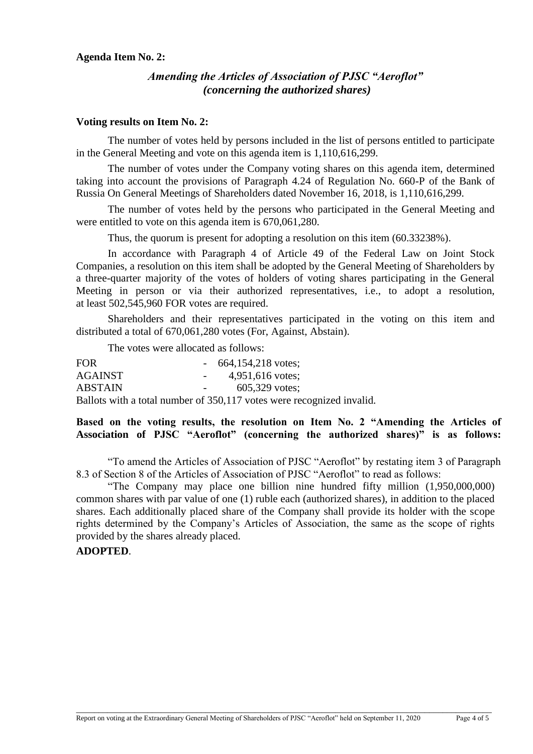#### **Agenda Item No. 2:**

## *Amending the Articles of Association of PJSC "Aeroflot" (concerning the authorized shares)*

#### **Voting results on Item No. 2:**

The number of votes held by persons included in the list of persons entitled to participate in the General Meeting and vote on this agenda item is 1,110,616,299.

The number of votes under the Company voting shares on this agenda item, determined taking into account the provisions of Paragraph 4.24 of Regulation No. 660-P of the Bank of Russia On General Meetings of Shareholders dated November 16, 2018, is 1,110,616,299.

The number of votes held by the persons who participated in the General Meeting and were entitled to vote on this agenda item is 670,061,280.

Thus, the quorum is present for adopting a resolution on this item (60.33238%).

In accordance with Paragraph 4 of Article 49 of the Federal Law on Joint Stock Companies, a resolution on this item shall be adopted by the General Meeting of Shareholders by a three-quarter majority of the votes of holders of voting shares participating in the General Meeting in person or via their authorized representatives, i.e., to adopt a resolution, at least 502,545,960 FOR votes are required.

Shareholders and their representatives participated in the voting on this item and distributed a total of 670,061,280 votes (For, Against, Abstain).

The votes were allocated as follows:

| <b>FOR</b>     |            | $-664,154,218$ votes;                                                 |
|----------------|------------|-----------------------------------------------------------------------|
| <b>AGAINST</b> | $\sim 100$ | 4,951,616 votes;                                                      |
| <b>ABSTAIN</b> |            | $605,329$ votes;                                                      |
|                |            | Ballots with a total number of 350,117 votes were recognized invalid. |

# **Based on the voting results, the resolution on Item No. 2 "Amending the Articles of Association of PJSC "Aeroflot" (concerning the authorized shares)" is as follows:**

"To amend the Articles of Association of PJSC "Aeroflot" by restating item 3 of Paragraph 8.3 of Section 8 of the Articles of Association of PJSC "Aeroflot" to read as follows:

"The Company may place one billion nine hundred fifty million (1,950,000,000) common shares with par value of one (1) ruble each (authorized shares), in addition to the placed shares. Each additionally placed share of the Company shall provide its holder with the scope rights determined by the Company's Articles of Association, the same as the scope of rights provided by the shares already placed.

#### **ADOPTED**.

\_\_\_\_\_\_\_\_\_\_\_\_\_\_\_\_\_\_\_\_\_\_\_\_\_\_\_\_\_\_\_\_\_\_\_\_\_\_\_\_\_\_\_\_\_\_\_\_\_\_\_\_\_\_\_\_\_\_\_\_\_\_\_\_\_\_\_\_\_\_\_\_\_\_\_\_\_\_\_\_\_\_\_\_\_\_\_\_\_\_\_\_\_